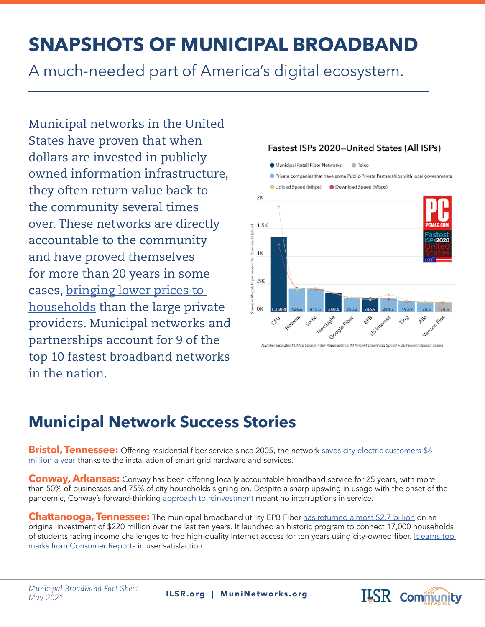## **SNAPSHOTS OF MUNICIPAL BROADBAND**

A much-needed part of America's digital ecosystem.

Municipal networks in the United States have proven that when dollars are invested in publicly owned information infrastructure, they often return value back to the community several times over. These networks are directly accountable to the community and have proved themselves for more than 20 years in some cases, [bringing lower prices to](https://cyber.harvard.edu/publications/2018/01/communityfiber)  [households](https://cyber.harvard.edu/publications/2018/01/communityfiber) than the large private providers. Municipal networks and partnerships account for 9 of the top 10 fastest broadband networks in the nation.



## **Municipal Network Success Stories**

**Bristol, Tennessee:** Offering residential fiber service since 2005, the network saves city electric customers \$6 [million a year](https://heraldcourier.com/opinion/columnists/btes-upgrades-have-improved-service-lowered-costs/article_99743fa8-fad2-532c-b8c4-27a802dde8dd.html) thanks to the installation of smart grid hardware and services.

**Conway, Arkansas:** Conway has been offering locally accountable broadband service for 25 years, with more than 50% of businesses and 75% of city households signing on. Despite a sharp upswing in usage with the onset of the pandemic, Conway's forward-thinking [approach to reinvestment](https://muninetworks.org/content/staying-ahead-curve-conway-arkansas) meant no interruptions in service.

**Chattanooga, Tennessee:** The municipal broadband utility EPB Fiber [has returned almost \\$2.7 billion](https://assets.epb.com/media/Lobo%20-%20Ten%20Years%20of%20Fiber%20Infrastructure%20in%20Hamilton%20County%20TN_Published.pdf) on an original investment of \$220 million over the last ten years. It launched an historic program to connect 17,000 households of students facing income challenges to free high-quality Internet access for ten years using city-owned fiber. It earns top [marks from Consumer Reports](https://muninetworks.org/content/consumer-reports-asks-and-people-answer-love-chattanooga-hate-comcast) in user satisfaction.